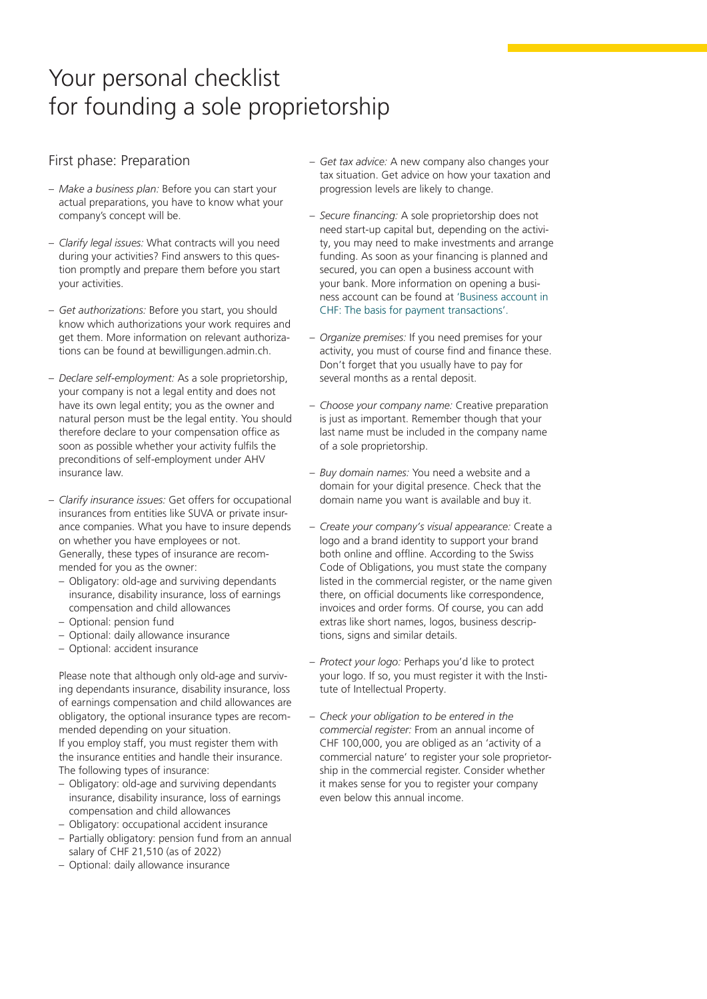## Your personal checklist for founding a sole proprietorship

## First phase: Preparation

- *Make a business plan:* Before you can start your actual preparations, you have to know what your company's concept will be.
- *Clarify legal issues:* What contracts will you need during your activities? Find answers to this question promptly and prepare them before you start your activities.
- *Get authorizations:* Before you start, you should know which authorizations your work requires and get them. More information on relevant authorizations can be found at [bewilligungen.admin.ch](http://bewilligungen.admin.ch).
- *Declare self-employment:* As a sole proprietorship, your company is not a legal entity and does not have its own legal entity; you as the owner and natural person must be the legal entity. You should therefore declare to your compensation office as soon as possible whether your activity fulfils the preconditions of self-employment under AHV insurance law.
- *Clarify insurance issues:* Get offers for occupational insurances from entities like SUVA or private insurance companies. What you have to insure depends on whether you have employees or not. Generally, these types of insurance are recommended for you as the owner:
	- Obligatory: old-age and surviving dependants insurance, disability insurance, loss of earnings compensation and child allowances
	- Optional: pension fund
	- Optional: daily allowance insurance
	- Optional: accident insurance

Please note that although only old-age and surviving dependants insurance, disability insurance, loss of earnings compensation and child allowances are obligatory, the optional insurance types are recommended depending on your situation. If you employ staff, you must register them with the insurance entities and handle their insurance. The following types of insurance:

- Obligatory: old-age and surviving dependants insurance, disability insurance, loss of earnings compensation and child allowances
- Obligatory: occupational accident insurance
- Partially obligatory: pension fund from an annual salary of CHF 21,510 (as of 2022)
- Optional: daily allowance insurance
- *Get tax advice:* A new company also changes your tax situation. Get advice on how your taxation and progression levels are likely to change.
- *Secure financing:* A sole proprietorship does not need start-up capital but, depending on the activity, you may need to make investments and arrange funding. As soon as your financing is planned and secured, you can open a business account with your bank. More information on opening a business account can be found at ['Business account in](https://www.postfinance.ch/en/business/products/accounts/business-account-chf.html)  [CHF: The basis for payment transactions'.](https://www.postfinance.ch/en/business/products/accounts/business-account-chf.html)
- *Organize premises:* If you need premises for your activity, you must of course find and finance these. Don't forget that you usually have to pay for several months as a rental deposit.
- *Choose your company name:* Creative preparation is just as important. Remember though that your last name must be included in the company name of a sole proprietorship.
- *Buy domain names:* You need a website and a domain for your digital presence. Check that the domain name you want is available and buy it.
- *Create your company's visual appearance:* Create a logo and a brand identity to support your brand both online and offline. According to the Swiss Code of Obligations, you must state the company listed in the commercial register, or the name given there, on official documents like correspondence, invoices and order forms. Of course, you can add extras like short names, logos, business descriptions, signs and similar details.
- *Protect your logo:* Perhaps you'd like to protect your logo. If so, you must register it with the Institute of Intellectual Property.
- *Check your obligation to be entered in the commercial register:* From an annual income of CHF 100,000, you are obliged as an 'activity of a commercial nature' to register your sole proprietorship in the commercial register. Consider whether it makes sense for you to register your company even below this annual income.